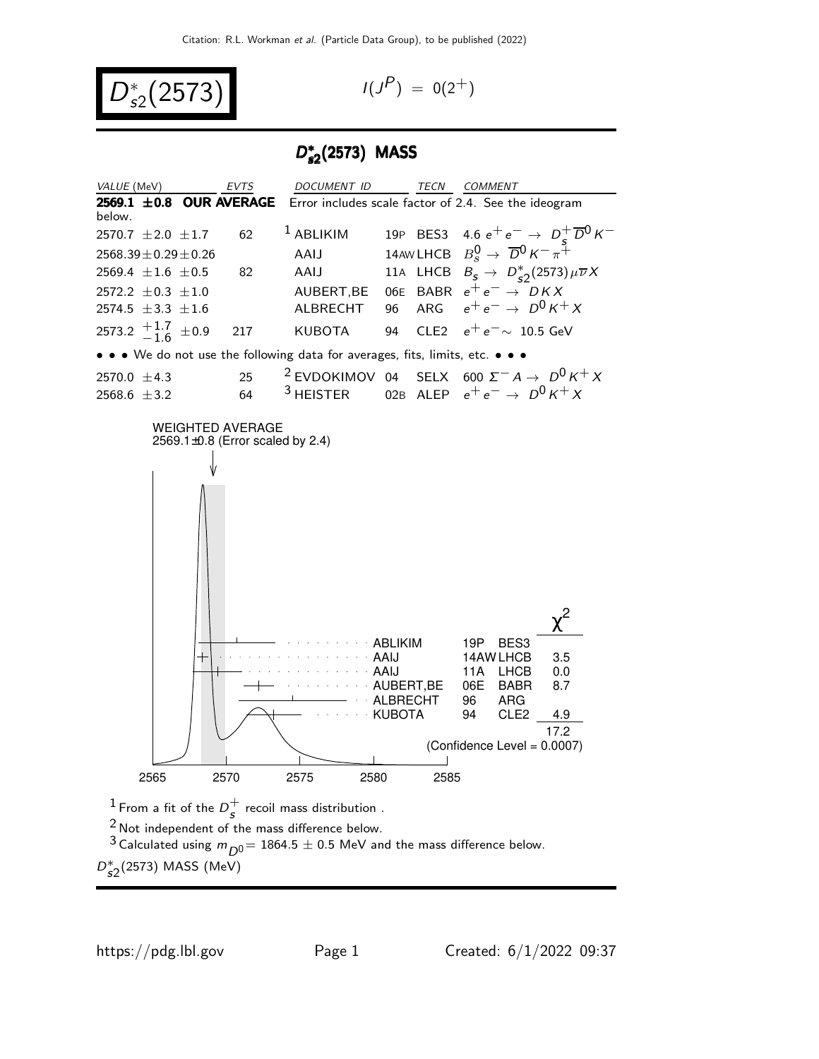$$
D_{s2}^*(2573) \qquad \qquad \text{(1)}
$$

$$
I(J^P) = 0(2^+)
$$

### D ∗ s2 (2573) MASS



 $^1$  From a fit of the  $D_c^+$  $\frac{1}{s}$  recoil mass distribution .

 $2$  Not independent of the mass difference below.

<sup>3</sup> Calculated using  $m_{\overline{D}^0}$  = 1864.5  $\pm$  0.5 MeV and the mass difference below.  $D_{s2}^*(2573)$  MASS (MeV)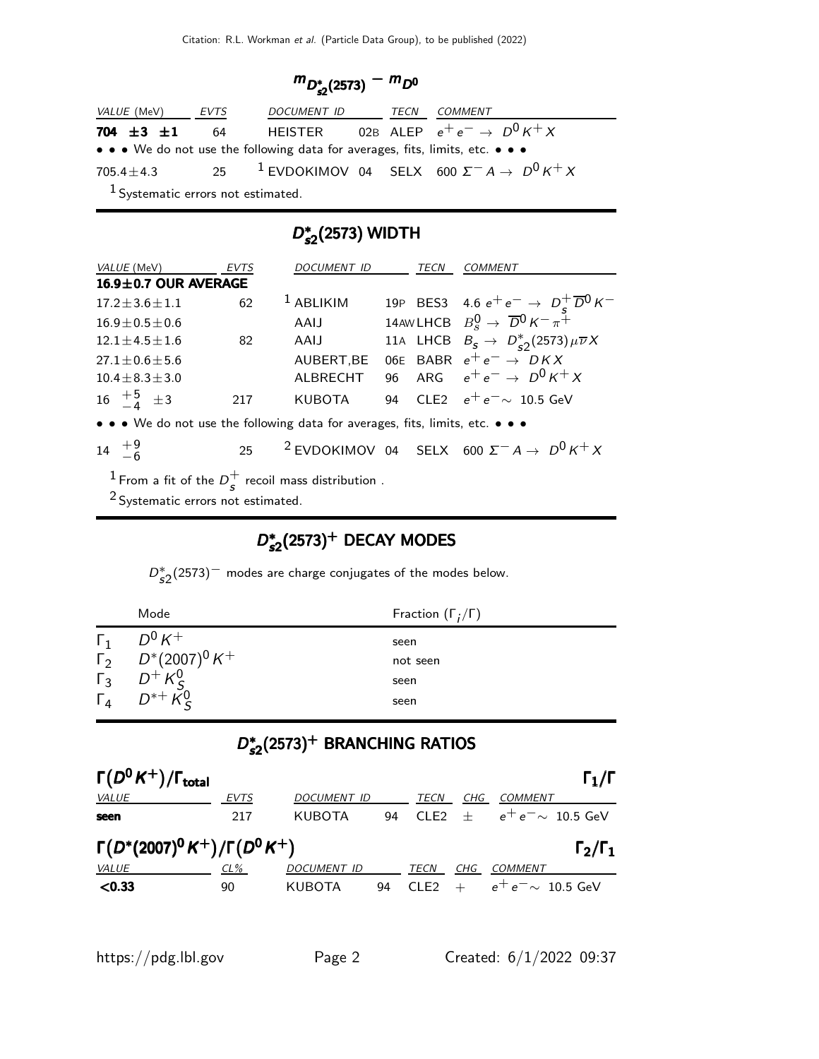$$
m_{D_{s2}^*(2573)} - m_{D^0}
$$

| <i>VALUE</i> (MeV)                            | EVTS | DOCUMENT ID                                                                   | TECN | <i>COMMENT</i>                                                           |  |  |
|-----------------------------------------------|------|-------------------------------------------------------------------------------|------|--------------------------------------------------------------------------|--|--|
| 704 $\pm 3$ $\pm 1$                           | - 64 |                                                                               |      | HEISTER 02B ALEP $e^+e^- \rightarrow D^0 K^+ X$                          |  |  |
|                                               |      | • • • We do not use the following data for averages, fits, limits, etc. • • • |      |                                                                          |  |  |
| $705.4 + 4.3$                                 |      |                                                                               |      | 25 <sup>1</sup> EVDOKIMOV 04 SELX 600 $\Sigma^- A \rightarrow D^0 K^+ X$ |  |  |
| <sup>1</sup> Systematic errors not estimated. |      |                                                                               |      |                                                                          |  |  |

### D<sup>∗</sup> \*2(2573) WIDTH

| VALUE (MeV)                                                                   | <b>EVTS</b> | <i>DOCUMENT ID</i> |    | TECN | <i>COMMENT</i>                                                                                                     |
|-------------------------------------------------------------------------------|-------------|--------------------|----|------|--------------------------------------------------------------------------------------------------------------------|
| 16.9±0.7 OUR AVERAGE                                                          |             |                    |    |      |                                                                                                                    |
| $17.2 \pm 3.6 \pm 1.1$                                                        | 62          | $1$ ABLIKIM        |    |      | 19P BES3 4.6 $e^+e^- \rightarrow D_s^+\overline{D}^0 K^-$<br>14AWLHCB $B_s^0 \rightarrow \overline{D}^0 K^- \pi^+$ |
| $16.9 \pm 0.5 \pm 0.6$                                                        |             | AAIJ               |    |      |                                                                                                                    |
| $12.1 \pm 4.5 \pm 1.6$                                                        | 82          | AAIJ               |    |      | 11A LHCB $B_s \rightarrow D_{s2}^*(2573) \mu \overline{\nu} X$                                                     |
| $27.1 \pm 0.6 \pm 5.6$                                                        |             | AUBERT, BE         |    |      | 06E BABR $e^+e^- \rightarrow D K X$                                                                                |
| $10.4 + 8.3 + 3.0$                                                            |             | <b>ALBRECHT</b>    |    |      | 96 ARG $e^+e^- \to D^0 K^+ X$                                                                                      |
| 16 $\frac{+5}{-4}$ $\pm 3$                                                    | 217         | <b>KUBOTA</b>      | 94 |      | CLE2 $e^+e^- \sim 10.5$ GeV                                                                                        |
| • • • We do not use the following data for averages, fits, limits, etc. • • • |             |                    |    |      |                                                                                                                    |
| $14 \tfrac{+9}{-6}$                                                           |             |                    |    |      | 25 <sup>2</sup> EVDOKIMOV 04 SELX 600 $\Sigma^- A \rightarrow D^0 K^+ X$                                           |
| <sup>1</sup> From a fit of the $D_s^+$ recoil mass distribution .             |             |                    |    |      |                                                                                                                    |

<sup>2</sup> Systematic errors not estimated.

# D\*  $D_{s2}^*(2573)^+$  DECAY MODES

 $D_{s2}^*(2573)^-$  modes are charge conjugates of the modes below.

|            | Mode                                                                           | Fraction $(\Gamma_i/\Gamma)$ |
|------------|--------------------------------------------------------------------------------|------------------------------|
| $\Gamma_1$ | $D^0 K^+$                                                                      | seen                         |
|            | $\overline{1}_2^{\circ}$ $D^*(2007)^0 K^+$                                     | not seen                     |
|            |                                                                                | seen                         |
|            | $\begin{matrix} 1 & 0 & 0 \\ 0 & 0 & 0 \\ 0 & 0 & 0 \\ 0 & 0 & 0 \end{matrix}$ | seen                         |

# D<sup>∗</sup>  $D_{s2}^*(2573)^+$  BRANCHING RATIOS

| $\Gamma(D^0K^+)/\Gamma_{\rm total}$       |             |                    |    |                  |     | $\Gamma_1/\Gamma$      |
|-------------------------------------------|-------------|--------------------|----|------------------|-----|------------------------|
| <i>VALUE</i>                              | <b>EVTS</b> | DOCUMENT ID        |    | TECN             | CHG | COMMENT                |
| seen                                      | 217         | KUBOTA             | 94 | C1F2             | $+$ | $e^+e^- \sim 10.5$ GeV |
| $\Gamma(D^*(2007)^0 K^+)/\Gamma(D^0 K^+)$ |             |                    |    |                  |     | $\Gamma_2/\Gamma_1$    |
| <b>VALUE</b>                              | $CL\%$      | <b>DOCUMENT ID</b> |    | TECN             | CHG | COMMENT                |
| < 0.33                                    | 90          | KUBOTA             | 94 | CLE <sub>2</sub> |     | $e^+e^- \sim 10.5$ GeV |